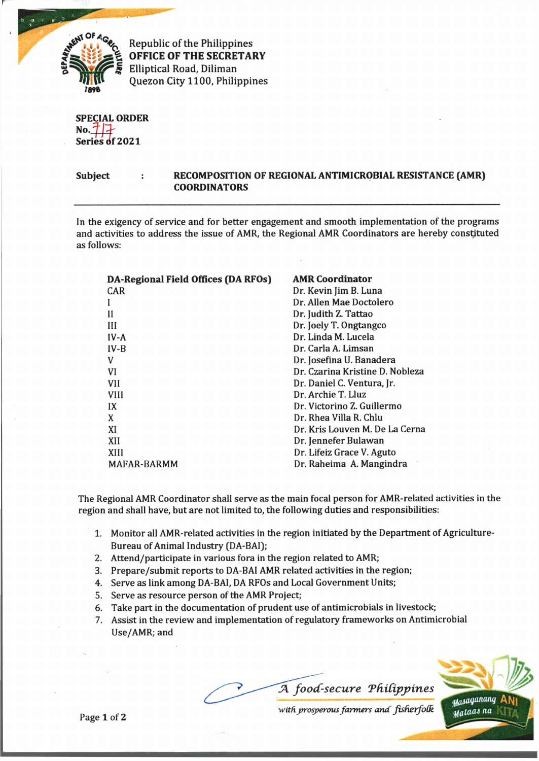

1, 1 1 **Republic of the Philippines OFFICE OF THE SECRETARY Elliptical Road, Diliman** *<sup>1</sup>***8V» Quezon City 1100, Philippines**

**SPECIAL ORDER** *N° . m .* **Senes of 2021** *m*

**Subject RECOMPOSITION OF REGIONAL ANTIMICROBIAL RESISTANCE (AMR) COORDINATORS**

In the exigency of service and for better engagement and smooth implementation of the programs and activities to address the issue of AMR, the Regional AMR Coordinators are hereby constituted as follows:

| DA-Regional Field Offices (DA RFOs) | <b>AMR Coordinator</b>          |
|-------------------------------------|---------------------------------|
| CAR                                 | Dr. Kevin Jim B. Luna           |
|                                     | Dr. Allen Mae Doctolero         |
| Н                                   | Dr. Judith Z. Tattao            |
| Ш                                   | Dr. Joely T. Ongtangco          |
| $IV-A$                              | Dr. Linda M. Lucela             |
| $IV-B$                              | Dr. Carla A. Limsan             |
| V                                   | Dr. Josefina U. Banadera        |
| VI                                  | Dr. Czarina Kristine D. Nobleza |
| <b>VII</b>                          | Dr. Daniel C. Ventura, Jr.      |
| <b>VIII</b>                         | Dr. Archie T. Lluz              |
| IX                                  | Dr. Victorino Z. Guillermo      |
| X                                   | Dr. Rhea Villa R. Chlu          |
| XI                                  | Dr. Kris Louven M. De La Cerna  |
| XII                                 | Dr. Jennefer Bulawan            |
| XIII                                | Dr. Lifeiz Grace V. Aguto       |
| MAFAR-BARMM                         | Dr. Raheima A. Mangindra        |

The Regional AMR Coordinator shall serve as the main focal person for AMR-related activities in the region and shall have, but are not limited to, the following duties and responsibilities:

- 1. Monitor all AMR-related activities in the region initiated by the Department of Agriculture-Bureau of Animal Industry (DA-BA1);
- 2. Attend/participate in various fora in the region related to AMR;
- 3. Prepare/submit reports to DA-BAI AMR related activities in the region;
- 4. Serve as link among DA-BAI, DA RFOs and Local Government Units;
- 5. Serve as resource person of the AMR Project;
- 6. Take part in the documentation of prudent use of antimicrobials in livestock;
- 7. Assist in the review and implementation of regulatory frameworks on Antimicrobial Use/AMR; and



*with ^prosperous farm ers a n d fisherfoGL*

Page 1 of 2